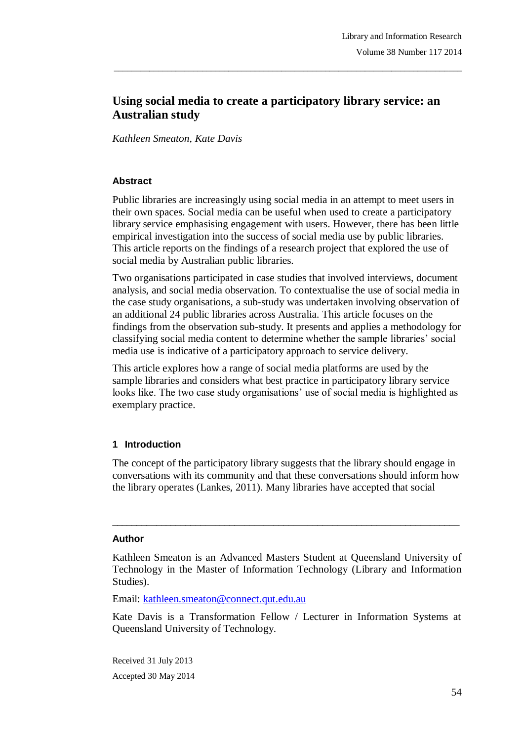# **Using social media to create a participatory library service: an Australian study**

\_\_\_\_\_\_\_\_\_\_\_\_\_\_\_\_\_\_\_\_\_\_\_\_\_\_\_\_\_\_\_\_\_\_\_\_\_\_\_\_\_\_\_\_\_\_\_\_\_\_\_\_\_\_\_\_\_\_\_\_\_\_\_\_\_\_\_\_\_\_\_\_\_\_\_\_\_\_\_

*Kathleen Smeaton, Kate Davis*

#### **Abstract**

Public libraries are increasingly using social media in an attempt to meet users in their own spaces. Social media can be useful when used to create a participatory library service emphasising engagement with users. However, there has been little empirical investigation into the success of social media use by public libraries. This article reports on the findings of a research project that explored the use of social media by Australian public libraries.

Two organisations participated in case studies that involved interviews, document analysis, and social media observation. To contextualise the use of social media in the case study organisations, a sub-study was undertaken involving observation of an additional 24 public libraries across Australia. This article focuses on the findings from the observation sub-study. It presents and applies a methodology for classifying social media content to determine whether the sample libraries' social media use is indicative of a participatory approach to service delivery.

This article explores how a range of social media platforms are used by the sample libraries and considers what best practice in participatory library service looks like. The two case study organisations' use of social media is highlighted as exemplary practice.

### **1 Introduction**

The concept of the participatory library suggests that the library should engage in conversations with its community and that these conversations should inform how the library operates (Lankes, 2011). Many libraries have accepted that social

\_\_\_\_\_\_\_\_\_\_\_\_\_\_\_\_\_\_\_\_\_\_\_\_\_\_\_\_\_\_\_\_\_\_\_\_\_\_\_\_\_\_\_\_\_\_\_\_\_\_\_\_\_\_\_\_\_\_\_\_\_\_\_\_\_\_\_\_\_\_\_

#### **Author**

Email: kathleen.smeaton@connect.qut.edu.au

Kate Davis is a Transformation Fellow / Lecturer in Information Systems at Queensland University of Technology.

Received 31 July 2013 Accepted 30 May 2014

Kathleen Smeaton is an Advanced Masters Student at Queensland University of Technology in the Master of Information Technology (Library and Information Studies).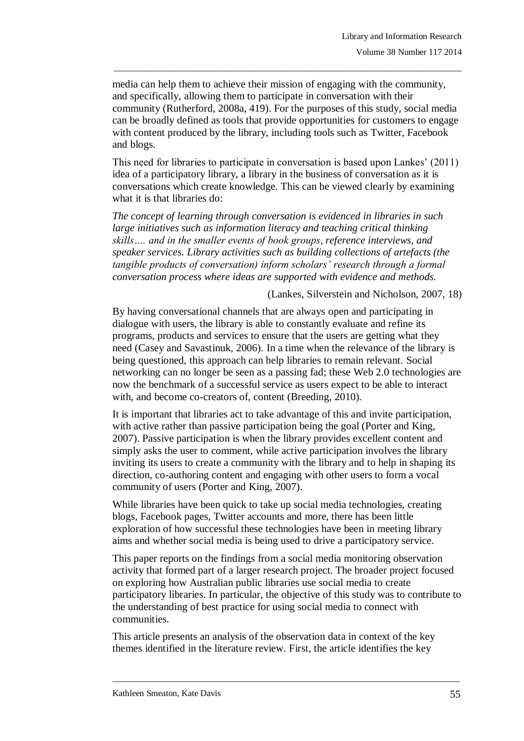media can help them to achieve their mission of engaging with the community, and specifically, allowing them to participate in conversation with their community (Rutherford, 2008a, 419). For the purposes of this study, social media can be broadly defined as tools that provide opportunities for customers to engage with content produced by the library, including tools such as Twitter, Facebook and blogs.

\_\_\_\_\_\_\_\_\_\_\_\_\_\_\_\_\_\_\_\_\_\_\_\_\_\_\_\_\_\_\_\_\_\_\_\_\_\_\_\_\_\_\_\_\_\_\_\_\_\_\_\_\_\_\_\_\_\_\_\_\_\_\_\_\_\_\_\_\_\_\_\_\_\_\_\_\_\_\_

This need for libraries to participate in conversation is based upon Lankes' (2011) idea of a participatory library, a library in the business of conversation as it is conversations which create knowledge. This can be viewed clearly by examining what it is that libraries do:

*The concept of learning through conversation is evidenced in libraries in such large initiatives such as information literacy and teaching critical thinking skills…. and in the smaller events of book groups, reference interviews, and speaker services. Library activities such as building collections of artefacts (the tangible products of conversation) inform scholars' research through a formal conversation process where ideas are supported with evidence and methods.*

(Lankes, Silverstein and Nicholson, 2007, 18)

By having conversational channels that are always open and participating in dialogue with users, the library is able to constantly evaluate and refine its programs, products and services to ensure that the users are getting what they need (Casey and Savastinuk, 2006). In a time when the relevance of the library is being questioned, this approach can help libraries to remain relevant. Social networking can no longer be seen as a passing fad; these Web 2.0 technologies are now the benchmark of a successful service as users expect to be able to interact with, and become co-creators of, content (Breeding, 2010).

It is important that libraries act to take advantage of this and invite participation, with active rather than passive participation being the goal (Porter and King, 2007). Passive participation is when the library provides excellent content and simply asks the user to comment, while active participation involves the library inviting its users to create a community with the library and to help in shaping its direction, co-authoring content and engaging with other users to form a vocal community of users (Porter and King, 2007).

While libraries have been quick to take up social media technologies, creating blogs, Facebook pages, Twitter accounts and more, there has been little exploration of how successful these technologies have been in meeting library aims and whether social media is being used to drive a participatory service.

This paper reports on the findings from a social media monitoring observation activity that formed part of a larger research project. The broader project focused on exploring how Australian public libraries use social media to create participatory libraries. In particular, the objective of this study was to contribute to the understanding of best practice for using social media to connect with communities.

\_\_\_\_\_\_\_\_\_\_\_\_\_\_\_\_\_\_\_\_\_\_\_\_\_\_\_\_\_\_\_\_\_\_\_\_\_\_\_\_\_\_\_\_\_\_\_\_\_\_\_\_\_\_\_\_\_\_\_\_\_\_\_\_\_\_\_\_\_\_\_\_\_\_\_\_\_\_\_

This article presents an analysis of the observation data in context of the key themes identified in the literature review. First, the article identifies the key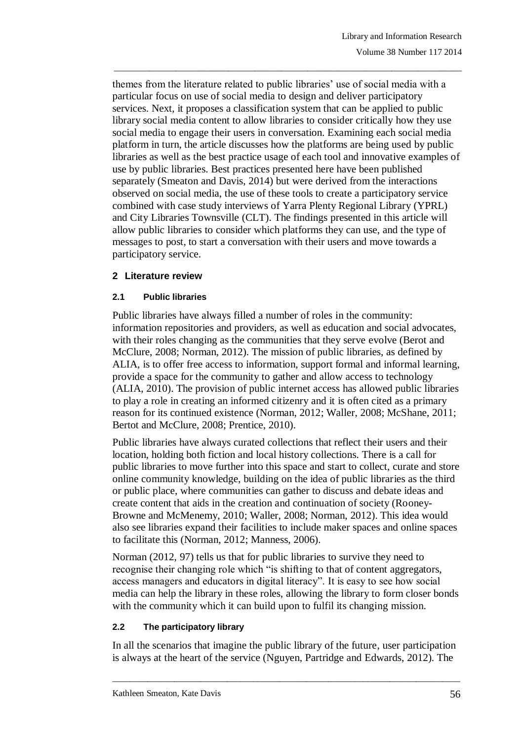themes from the literature related to public libraries' use of social media with a particular focus on use of social media to design and deliver participatory services. Next, it proposes a classification system that can be applied to public library social media content to allow libraries to consider critically how they use social media to engage their users in conversation. Examining each social media platform in turn, the article discusses how the platforms are being used by public libraries as well as the best practice usage of each tool and innovative examples of use by public libraries. Best practices presented here have been published separately (Smeaton and Davis, 2014) but were derived from the interactions observed on social media, the use of these tools to create a participatory service combined with case study interviews of Yarra Plenty Regional Library (YPRL) and City Libraries Townsville (CLT). The findings presented in this article will allow public libraries to consider which platforms they can use, and the type of messages to post, to start a conversation with their users and move towards a participatory service.

\_\_\_\_\_\_\_\_\_\_\_\_\_\_\_\_\_\_\_\_\_\_\_\_\_\_\_\_\_\_\_\_\_\_\_\_\_\_\_\_\_\_\_\_\_\_\_\_\_\_\_\_\_\_\_\_\_\_\_\_\_\_\_\_\_\_\_\_\_\_\_\_\_\_\_\_\_\_\_

# **2 Literature review**

# **2.1 Public libraries**

Public libraries have always filled a number of roles in the community: information repositories and providers, as well as education and social advocates, with their roles changing as the communities that they serve evolve (Berot and McClure, 2008; Norman, 2012). The mission of public libraries, as defined by ALIA, is to offer free access to information, support formal and informal learning, provide a space for the community to gather and allow access to technology (ALIA, 2010). The provision of public internet access has allowed public libraries to play a role in creating an informed citizenry and it is often cited as a primary reason for its continued existence (Norman, 2012; Waller, 2008; McShane, 2011; Bertot and McClure, 2008; Prentice, 2010).

Public libraries have always curated collections that reflect their users and their location, holding both fiction and local history collections. There is a call for public libraries to move further into this space and start to collect, curate and store online community knowledge, building on the idea of public libraries as the third or public place, where communities can gather to discuss and debate ideas and create content that aids in the creation and continuation of society (Rooney-Browne and McMenemy, 2010; Waller, 2008; Norman, 2012). This idea would also see libraries expand their facilities to include maker spaces and online spaces to facilitate this (Norman, 2012; Manness, 2006).

Norman (2012, 97) tells us that for public libraries to survive they need to recognise their changing role which "is shifting to that of content aggregators, access managers and educators in digital literacy". It is easy to see how social media can help the library in these roles, allowing the library to form closer bonds with the community which it can build upon to fulfil its changing mission.

### **2.2 The participatory library**

In all the scenarios that imagine the public library of the future, user participation is always at the heart of the service (Nguyen, Partridge and Edwards, 2012). The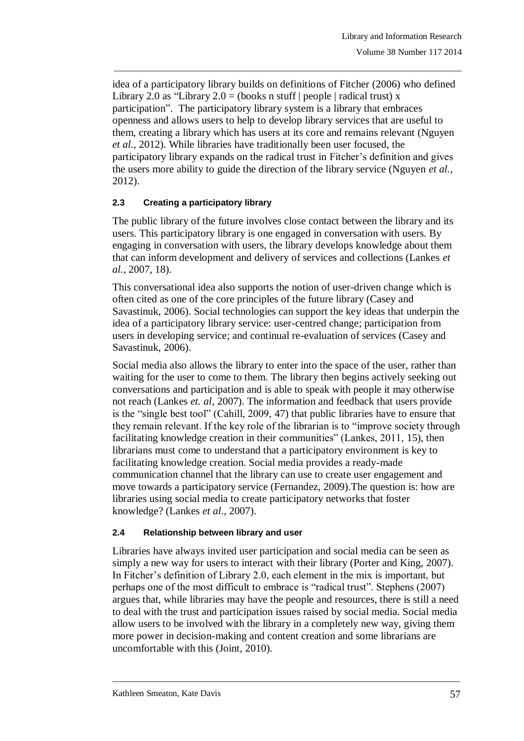idea of a participatory library builds on definitions of Fitcher (2006) who defined Library 2.0 as "Library 2.0 = (books n stuff | people | radical trust) x participation". The participatory library system is a library that embraces openness and allows users to help to develop library services that are useful to them, creating a library which has users at its core and remains relevant (Nguyen *et al.*, 2012). While libraries have traditionally been user focused, the participatory library expands on the radical trust in Fitcher's definition and gives the users more ability to guide the direction of the library service (Nguyen *et al.*, 2012).

\_\_\_\_\_\_\_\_\_\_\_\_\_\_\_\_\_\_\_\_\_\_\_\_\_\_\_\_\_\_\_\_\_\_\_\_\_\_\_\_\_\_\_\_\_\_\_\_\_\_\_\_\_\_\_\_\_\_\_\_\_\_\_\_\_\_\_\_\_\_\_\_\_\_\_\_\_\_\_

# **2.3 Creating a participatory library**

The public library of the future involves close contact between the library and its users. This participatory library is one engaged in conversation with users. By engaging in conversation with users, the library develops knowledge about them that can inform development and delivery of services and collections (Lankes *et al.*, 2007, 18).

This conversational idea also supports the notion of user-driven change which is often cited as one of the core principles of the future library (Casey and Savastinuk, 2006). Social technologies can support the key ideas that underpin the idea of a participatory library service: user-centred change; participation from users in developing service; and continual re-evaluation of services (Casey and Savastinuk, 2006).

Social media also allows the library to enter into the space of the user, rather than waiting for the user to come to them. The library then begins actively seeking out conversations and participation and is able to speak with people it may otherwise not reach (Lankes *et. al*, 2007). The information and feedback that users provide is the "single best tool" (Cahill, 2009, 47) that public libraries have to ensure that they remain relevant. If the key role of the librarian is to "improve society through facilitating knowledge creation in their communities" (Lankes, 2011, 15), then librarians must come to understand that a participatory environment is key to facilitating knowledge creation. Social media provides a ready-made communication channel that the library can use to create user engagement and move towards a participatory service (Fernandez, 2009).The question is: how are libraries using social media to create participatory networks that foster knowledge? (Lankes *et al*., 2007).

### **2.4 Relationship between library and user**

Libraries have always invited user participation and social media can be seen as simply a new way for users to interact with their library (Porter and King, 2007). In Fitcher's definition of Library 2.0, each element in the mix is important, but perhaps one of the most difficult to embrace is "radical trust". Stephens (2007) argues that, while libraries may have the people and resources, there is still a need to deal with the trust and participation issues raised by social media. Social media allow users to be involved with the library in a completely new way, giving them more power in decision-making and content creation and some librarians are uncomfortable with this (Joint, 2010).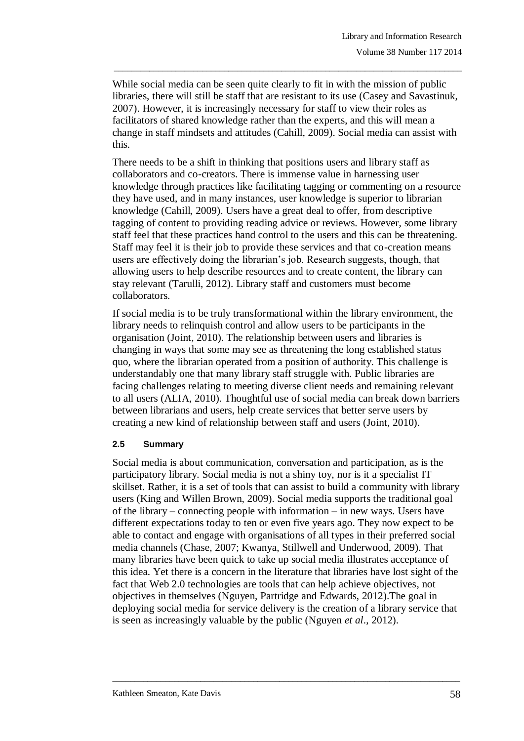While social media can be seen quite clearly to fit in with the mission of public libraries, there will still be staff that are resistant to its use (Casey and Savastinuk, 2007). However, it is increasingly necessary for staff to view their roles as facilitators of shared knowledge rather than the experts, and this will mean a change in staff mindsets and attitudes (Cahill, 2009). Social media can assist with this.

\_\_\_\_\_\_\_\_\_\_\_\_\_\_\_\_\_\_\_\_\_\_\_\_\_\_\_\_\_\_\_\_\_\_\_\_\_\_\_\_\_\_\_\_\_\_\_\_\_\_\_\_\_\_\_\_\_\_\_\_\_\_\_\_\_\_\_\_\_\_\_\_\_\_\_\_\_\_\_

There needs to be a shift in thinking that positions users and library staff as collaborators and co-creators. There is immense value in harnessing user knowledge through practices like facilitating tagging or commenting on a resource they have used, and in many instances, user knowledge is superior to librarian knowledge (Cahill, 2009). Users have a great deal to offer, from descriptive tagging of content to providing reading advice or reviews. However, some library staff feel that these practices hand control to the users and this can be threatening. Staff may feel it is their job to provide these services and that co-creation means users are effectively doing the librarian's job. Research suggests, though, that allowing users to help describe resources and to create content, the library can stay relevant (Tarulli, 2012). Library staff and customers must become collaborators.

If social media is to be truly transformational within the library environment, the library needs to relinquish control and allow users to be participants in the organisation (Joint, 2010). The relationship between users and libraries is changing in ways that some may see as threatening the long established status quo, where the librarian operated from a position of authority. This challenge is understandably one that many library staff struggle with. Public libraries are facing challenges relating to meeting diverse client needs and remaining relevant to all users (ALIA, 2010). Thoughtful use of social media can break down barriers between librarians and users, help create services that better serve users by creating a new kind of relationship between staff and users (Joint, 2010).

#### **2.5 Summary**

Social media is about communication, conversation and participation, as is the participatory library. Social media is not a shiny toy, nor is it a specialist IT skillset. Rather, it is a set of tools that can assist to build a community with library users (King and Willen Brown, 2009). Social media supports the traditional goal of the library – connecting people with information – in new ways. Users have different expectations today to ten or even five years ago. They now expect to be able to contact and engage with organisations of all types in their preferred social media channels (Chase, 2007; Kwanya, Stillwell and Underwood, 2009). That many libraries have been quick to take up social media illustrates acceptance of this idea. Yet there is a concern in the literature that libraries have lost sight of the fact that Web 2.0 technologies are tools that can help achieve objectives, not objectives in themselves (Nguyen, Partridge and Edwards, 2012).The goal in deploying social media for service delivery is the creation of a library service that is seen as increasingly valuable by the public (Nguyen *et al*., 2012).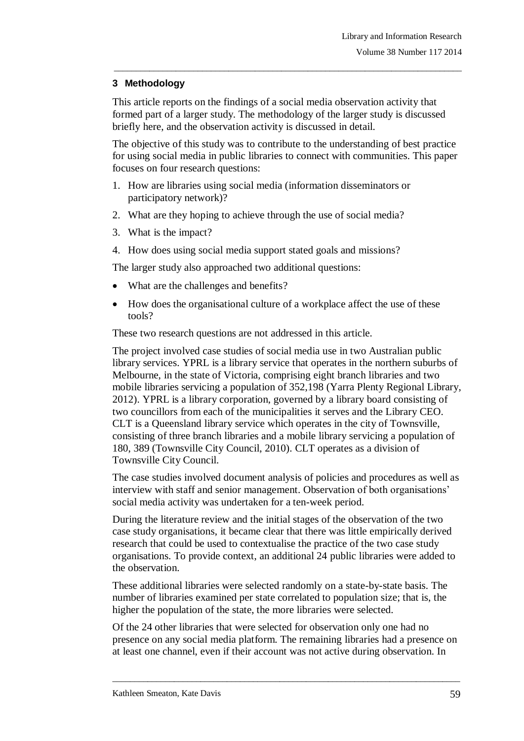# **3 Methodology**

This article reports on the findings of a social media observation activity that formed part of a larger study. The methodology of the larger study is discussed briefly here, and the observation activity is discussed in detail.

\_\_\_\_\_\_\_\_\_\_\_\_\_\_\_\_\_\_\_\_\_\_\_\_\_\_\_\_\_\_\_\_\_\_\_\_\_\_\_\_\_\_\_\_\_\_\_\_\_\_\_\_\_\_\_\_\_\_\_\_\_\_\_\_\_\_\_\_\_\_\_\_\_\_\_\_\_\_\_

The objective of this study was to contribute to the understanding of best practice for using social media in public libraries to connect with communities. This paper focuses on four research questions:

- 1. How are libraries using social media (information disseminators or participatory network)?
- 2. What are they hoping to achieve through the use of social media?
- 3. What is the impact?
- 4. How does using social media support stated goals and missions?

The larger study also approached two additional questions:

- What are the challenges and benefits?
- How does the organisational culture of a workplace affect the use of these tools?

These two research questions are not addressed in this article.

The project involved case studies of social media use in two Australian public library services. YPRL is a library service that operates in the northern suburbs of Melbourne, in the state of Victoria, comprising eight branch libraries and two mobile libraries servicing a population of 352,198 (Yarra Plenty Regional Library, 2012). YPRL is a library corporation, governed by a library board consisting of two councillors from each of the municipalities it serves and the Library CEO. CLT is a Queensland library service which operates in the city of Townsville, consisting of three branch libraries and a mobile library servicing a population of 180, 389 (Townsville City Council, 2010). CLT operates as a division of Townsville City Council.

The case studies involved document analysis of policies and procedures as well as interview with staff and senior management. Observation of both organisations' social media activity was undertaken for a ten-week period.

During the literature review and the initial stages of the observation of the two case study organisations, it became clear that there was little empirically derived research that could be used to contextualise the practice of the two case study organisations. To provide context, an additional 24 public libraries were added to the observation.

These additional libraries were selected randomly on a state-by-state basis. The number of libraries examined per state correlated to population size; that is, the higher the population of the state, the more libraries were selected.

Of the 24 other libraries that were selected for observation only one had no presence on any social media platform. The remaining libraries had a presence on at least one channel, even if their account was not active during observation. In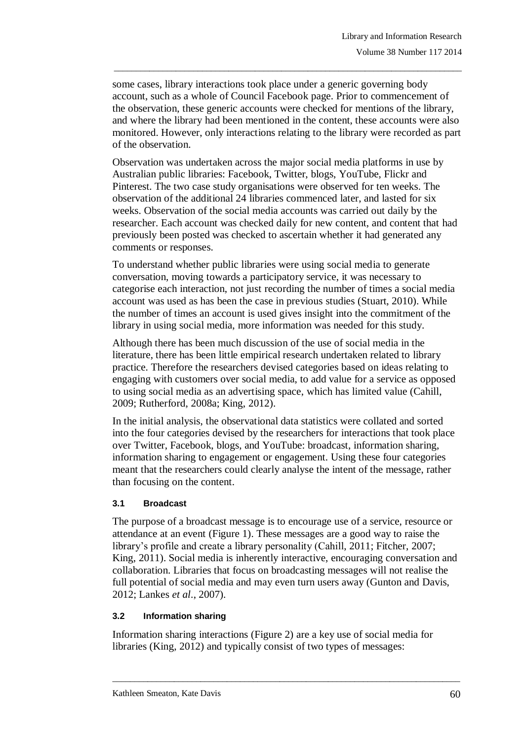some cases, library interactions took place under a generic governing body account, such as a whole of Council Facebook page. Prior to commencement of the observation, these generic accounts were checked for mentions of the library, and where the library had been mentioned in the content, these accounts were also monitored. However, only interactions relating to the library were recorded as part of the observation.

\_\_\_\_\_\_\_\_\_\_\_\_\_\_\_\_\_\_\_\_\_\_\_\_\_\_\_\_\_\_\_\_\_\_\_\_\_\_\_\_\_\_\_\_\_\_\_\_\_\_\_\_\_\_\_\_\_\_\_\_\_\_\_\_\_\_\_\_\_\_\_\_\_\_\_\_\_\_\_

Observation was undertaken across the major social media platforms in use by Australian public libraries: Facebook, Twitter, blogs, YouTube, Flickr and Pinterest. The two case study organisations were observed for ten weeks. The observation of the additional 24 libraries commenced later, and lasted for six weeks. Observation of the social media accounts was carried out daily by the researcher. Each account was checked daily for new content, and content that had previously been posted was checked to ascertain whether it had generated any comments or responses.

To understand whether public libraries were using social media to generate conversation, moving towards a participatory service, it was necessary to categorise each interaction, not just recording the number of times a social media account was used as has been the case in previous studies (Stuart, 2010). While the number of times an account is used gives insight into the commitment of the library in using social media, more information was needed for this study.

Although there has been much discussion of the use of social media in the literature, there has been little empirical research undertaken related to library practice. Therefore the researchers devised categories based on ideas relating to engaging with customers over social media, to add value for a service as opposed to using social media as an advertising space, which has limited value (Cahill, 2009; Rutherford, 2008a; King, 2012).

In the initial analysis, the observational data statistics were collated and sorted into the four categories devised by the researchers for interactions that took place over Twitter, Facebook, blogs, and YouTube: broadcast, information sharing, information sharing to engagement or engagement. Using these four categories meant that the researchers could clearly analyse the intent of the message, rather than focusing on the content.

### **3.1 Broadcast**

The purpose of a broadcast message is to encourage use of a service, resource or attendance at an event (Figure 1). These messages are a good way to raise the library's profile and create a library personality (Cahill, 2011; Fitcher, 2007; King, 2011). Social media is inherently interactive, encouraging conversation and collaboration. Libraries that focus on broadcasting messages will not realise the full potential of social media and may even turn users away (Gunton and Davis, 2012; Lankes *et al*., 2007).

### **3.2 Information sharing**

Information sharing interactions (Figure 2) are a key use of social media for libraries (King, 2012) and typically consist of two types of messages: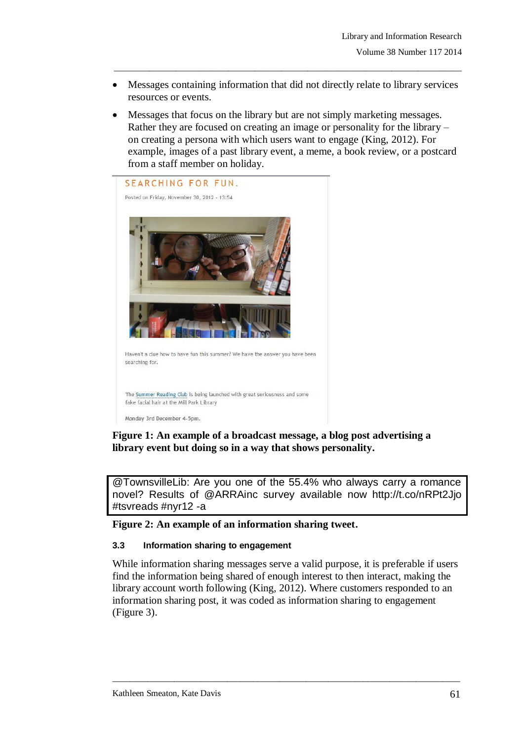Messages containing information that did not directly relate to library services resources or events.

\_\_\_\_\_\_\_\_\_\_\_\_\_\_\_\_\_\_\_\_\_\_\_\_\_\_\_\_\_\_\_\_\_\_\_\_\_\_\_\_\_\_\_\_\_\_\_\_\_\_\_\_\_\_\_\_\_\_\_\_\_\_\_\_\_\_\_\_\_\_\_\_\_\_\_\_\_\_\_

 Messages that focus on the library but are not simply marketing messages. Rather they are focused on creating an image or personality for the library – on creating a persona with which users want to engage (King, 2012). For example, images of a past library event, a meme, a book review, or a postcard from a staff member on holiday.



# **Figure 1: An example of a broadcast message, a blog post advertising a library event but doing so in a way that shows personality.**

@TownsvilleLib: Are you one of the 55.4% who always carry a romance novel? Results of @ARRAinc survey available now http://t.co/nRPt2Jjo #tsvreads #nyr12 -a

#### **Figure 2: An example of an information sharing tweet.**

#### **3.3 Information sharing to engagement**

While information sharing messages serve a valid purpose, it is preferable if users find the information being shared of enough interest to then interact, making the library account worth following (King, 2012). Where customers responded to an information sharing post, it was coded as information sharing to engagement (Figure 3).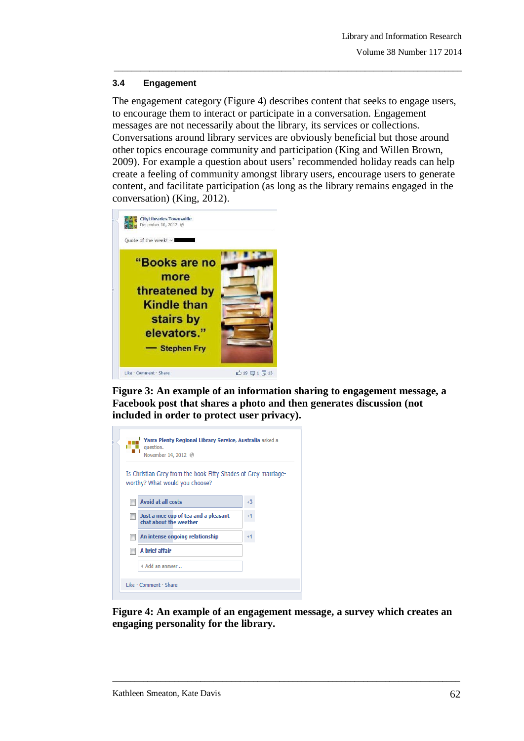#### **3.4 Engagement**

The engagement category (Figure 4) describes content that seeks to engage users, to encourage them to interact or participate in a conversation. Engagement messages are not necessarily about the library, its services or collections. Conversations around library services are obviously beneficial but those around other topics encourage community and participation (King and Willen Brown, 2009). For example a question about users' recommended holiday reads can help create a feeling of community amongst library users, encourage users to generate content, and facilitate participation (as long as the library remains engaged in the conversation) (King, 2012).

\_\_\_\_\_\_\_\_\_\_\_\_\_\_\_\_\_\_\_\_\_\_\_\_\_\_\_\_\_\_\_\_\_\_\_\_\_\_\_\_\_\_\_\_\_\_\_\_\_\_\_\_\_\_\_\_\_\_\_\_\_\_\_\_\_\_\_\_\_\_\_\_\_\_\_\_\_\_\_



**Figure 3: An example of an information sharing to engagement message, a Facebook post that shares a photo and then generates discussion (not included in order to protect user privacy).**

| Yarra Plenty Regional Library Service, Australia asked a<br>question.<br>November 14, 2012 (?)   |      |
|--------------------------------------------------------------------------------------------------|------|
| Is Christian Grey from the book Fifty Shades of Grey marriage-<br>worthy? What would you choose? |      |
| <b>Avoid at all costs</b>                                                                        | $+3$ |
| Just a nice cup of tea and a pleasant<br>chat about the weather                                  |      |
| An intense ongoing relationship                                                                  |      |
| A brief affair                                                                                   |      |
| + Add an answer                                                                                  |      |
| Like · Comment · Share                                                                           |      |

**Figure 4: An example of an engagement message, a survey which creates an engaging personality for the library.**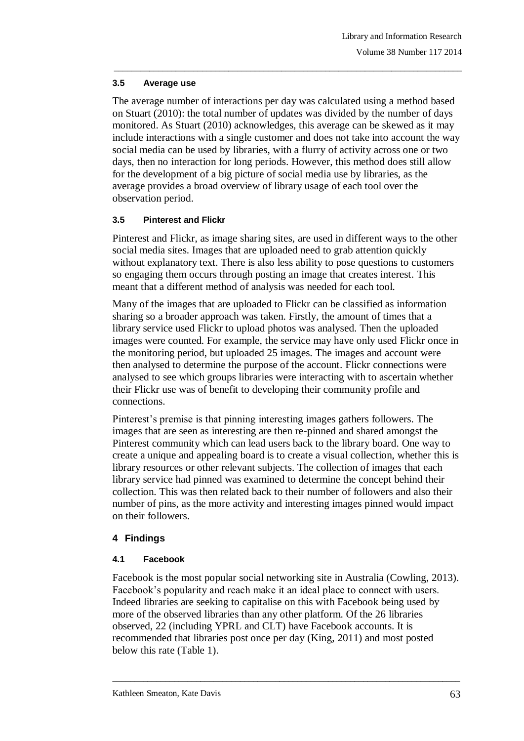#### **3.5 Average use**

The average number of interactions per day was calculated using a method based on Stuart (2010): the total number of updates was divided by the number of days monitored. As Stuart (2010) acknowledges, this average can be skewed as it may include interactions with a single customer and does not take into account the way social media can be used by libraries, with a flurry of activity across one or two days, then no interaction for long periods. However, this method does still allow for the development of a big picture of social media use by libraries, as the average provides a broad overview of library usage of each tool over the observation period.

\_\_\_\_\_\_\_\_\_\_\_\_\_\_\_\_\_\_\_\_\_\_\_\_\_\_\_\_\_\_\_\_\_\_\_\_\_\_\_\_\_\_\_\_\_\_\_\_\_\_\_\_\_\_\_\_\_\_\_\_\_\_\_\_\_\_\_\_\_\_\_\_\_\_\_\_\_\_\_

### **3.5 Pinterest and Flickr**

Pinterest and Flickr, as image sharing sites, are used in different ways to the other social media sites. Images that are uploaded need to grab attention quickly without explanatory text. There is also less ability to pose questions to customers so engaging them occurs through posting an image that creates interest. This meant that a different method of analysis was needed for each tool.

Many of the images that are uploaded to Flickr can be classified as information sharing so a broader approach was taken. Firstly, the amount of times that a library service used Flickr to upload photos was analysed. Then the uploaded images were counted. For example, the service may have only used Flickr once in the monitoring period, but uploaded 25 images. The images and account were then analysed to determine the purpose of the account. Flickr connections were analysed to see which groups libraries were interacting with to ascertain whether their Flickr use was of benefit to developing their community profile and connections.

Pinterest's premise is that pinning interesting images gathers followers. The images that are seen as interesting are then re-pinned and shared amongst the Pinterest community which can lead users back to the library board. One way to create a unique and appealing board is to create a visual collection, whether this is library resources or other relevant subjects. The collection of images that each library service had pinned was examined to determine the concept behind their collection. This was then related back to their number of followers and also their number of pins, as the more activity and interesting images pinned would impact on their followers.

### **4 Findings**

### **4.1 Facebook**

Facebook is the most popular social networking site in Australia (Cowling, 2013). Facebook's popularity and reach make it an ideal place to connect with users. Indeed libraries are seeking to capitalise on this with Facebook being used by more of the observed libraries than any other platform. Of the 26 libraries observed, 22 (including YPRL and CLT) have Facebook accounts. It is recommended that libraries post once per day (King, 2011) and most posted below this rate (Table 1).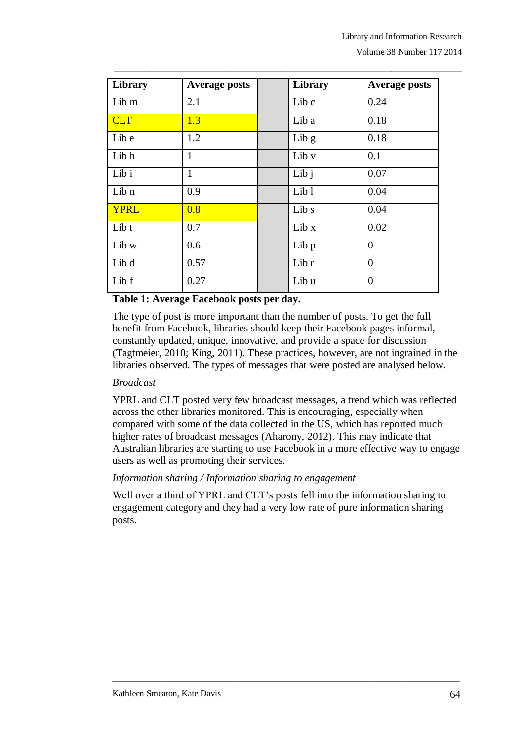| Library     | <b>Average posts</b> | Library          | <b>Average posts</b> |
|-------------|----------------------|------------------|----------------------|
| Lib m       | 2.1                  | Lib c            | 0.24                 |
| <b>CLT</b>  | 1.3                  | Lib a            | 0.18                 |
| Lib e       | 1.2                  | Lib $g$          | 0.18                 |
| Lib h       | $\mathbf{1}$         | Lib v            | 0.1                  |
| Lib i       | $\mathbf{1}$         | Lib j            | 0.07                 |
| Lib n       | 0.9                  | Lib <sub>1</sub> | 0.04                 |
| <b>YPRL</b> | 0.8                  | Lib s            | 0.04                 |
| Lib t       | 0.7                  | Lib x            | 0.02                 |
| Lib w       | 0.6                  | Lib p            | $\overline{0}$       |
| Lib d       | 0.57                 | Lib r            | $\overline{0}$       |
| Lib f       | 0.27                 | Lib u            | $\theta$             |

\_\_\_\_\_\_\_\_\_\_\_\_\_\_\_\_\_\_\_\_\_\_\_\_\_\_\_\_\_\_\_\_\_\_\_\_\_\_\_\_\_\_\_\_\_\_\_\_\_\_\_\_\_\_\_\_\_\_\_\_\_\_\_\_\_\_\_\_\_\_\_\_\_\_\_\_\_\_\_

### **Table 1: Average Facebook posts per day.**

The type of post is more important than the number of posts. To get the full benefit from Facebook, libraries should keep their Facebook pages informal, constantly updated, unique, innovative, and provide a space for discussion (Tagtmeier, 2010; King, 2011). These practices, however, are not ingrained in the libraries observed. The types of messages that were posted are analysed below.

### *Broadcast*

YPRL and CLT posted very few broadcast messages, a trend which was reflected across the other libraries monitored. This is encouraging, especially when compared with some of the data collected in the US, which has reported much higher rates of broadcast messages (Aharony, 2012). This may indicate that Australian libraries are starting to use Facebook in a more effective way to engage users as well as promoting their services.

### *Information sharing / Information sharing to engagement*

Well over a third of YPRL and CLT's posts fell into the information sharing to engagement category and they had a very low rate of pure information sharing posts.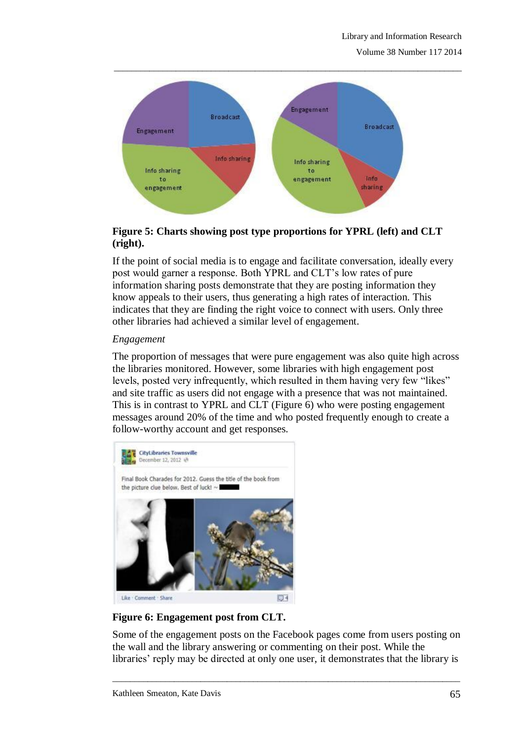

**Figure 5: Charts showing post type proportions for YPRL (left) and CLT (right).**

If the point of social media is to engage and facilitate conversation, ideally every post would garner a response. Both YPRL and CLT's low rates of pure information sharing posts demonstrate that they are posting information they know appeals to their users, thus generating a high rates of interaction. This indicates that they are finding the right voice to connect with users. Only three other libraries had achieved a similar level of engagement.

# *Engagement*

The proportion of messages that were pure engagement was also quite high across the libraries monitored. However, some libraries with high engagement post levels, posted very infrequently, which resulted in them having very few "likes" and site traffic as users did not engage with a presence that was not maintained. This is in contrast to YPRL and CLT (Figure 6) who were posting engagement messages around 20% of the time and who posted frequently enough to create a follow-worthy account and get responses.



**Figure 6: Engagement post from CLT.**

Some of the engagement posts on the Facebook pages come from users posting on the wall and the library answering or commenting on their post. While the libraries' reply may be directed at only one user, it demonstrates that the library is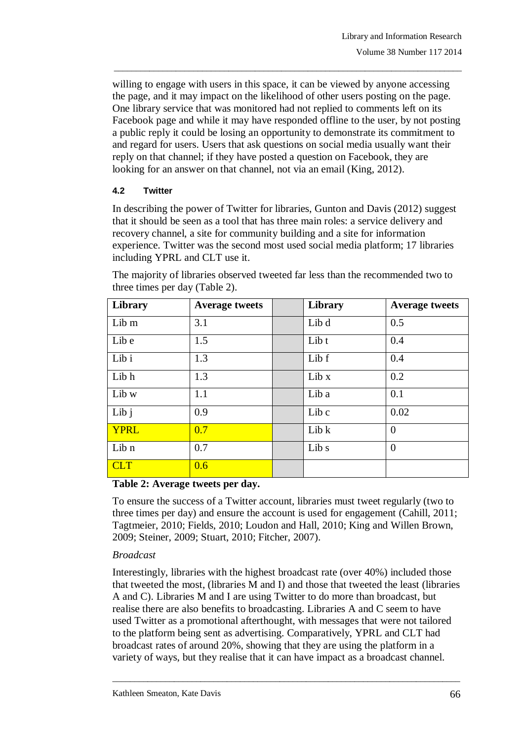willing to engage with users in this space, it can be viewed by anyone accessing the page, and it may impact on the likelihood of other users posting on the page. One library service that was monitored had not replied to comments left on its Facebook page and while it may have responded offline to the user, by not posting a public reply it could be losing an opportunity to demonstrate its commitment to and regard for users. Users that ask questions on social media usually want their reply on that channel; if they have posted a question on Facebook, they are looking for an answer on that channel, not via an email (King, 2012).

\_\_\_\_\_\_\_\_\_\_\_\_\_\_\_\_\_\_\_\_\_\_\_\_\_\_\_\_\_\_\_\_\_\_\_\_\_\_\_\_\_\_\_\_\_\_\_\_\_\_\_\_\_\_\_\_\_\_\_\_\_\_\_\_\_\_\_\_\_\_\_\_\_\_\_\_\_\_\_

# **4.2 Twitter**

In describing the power of Twitter for libraries, Gunton and Davis (2012) suggest that it should be seen as a tool that has three main roles: a service delivery and recovery channel, a site for community building and a site for information experience. Twitter was the second most used social media platform; 17 libraries including YPRL and CLT use it.

| Library          | <b>Average tweets</b> | Library | <b>Average tweets</b> |
|------------------|-----------------------|---------|-----------------------|
| Lib m            | 3.1                   | Lib d   | 0.5                   |
| Lib e            | 1.5                   | Lib t   | 0.4                   |
| Lib i            | 1.3                   | Lib f   | 0.4                   |
| Lib h            | 1.3                   | Lib x   | 0.2                   |
| Lib w            | 1.1                   | Lib a   | 0.1                   |
| Lib $\mathbf{j}$ | 0.9                   | Lib c   | 0.02                  |
| <b>YPRL</b>      | 0.7                   | Lib k   | $\overline{0}$        |
| Lib n            | 0.7                   | Lib s   | $\overline{0}$        |
| <b>CLT</b>       | 0.6                   |         |                       |

The majority of libraries observed tweeted far less than the recommended two to three times per day (Table 2).

### **Table 2: Average tweets per day.**

To ensure the success of a Twitter account, libraries must tweet regularly (two to three times per day) and ensure the account is used for engagement (Cahill, 2011; Tagtmeier, 2010; Fields, 2010; Loudon and Hall, 2010; King and Willen Brown, 2009; Steiner, 2009; Stuart, 2010; Fitcher, 2007).

### *Broadcast*

Interestingly, libraries with the highest broadcast rate (over 40%) included those that tweeted the most, (libraries M and I) and those that tweeted the least (libraries A and C). Libraries M and I are using Twitter to do more than broadcast, but realise there are also benefits to broadcasting. Libraries A and C seem to have used Twitter as a promotional afterthought, with messages that were not tailored to the platform being sent as advertising. Comparatively, YPRL and CLT had broadcast rates of around 20%, showing that they are using the platform in a variety of ways, but they realise that it can have impact as a broadcast channel.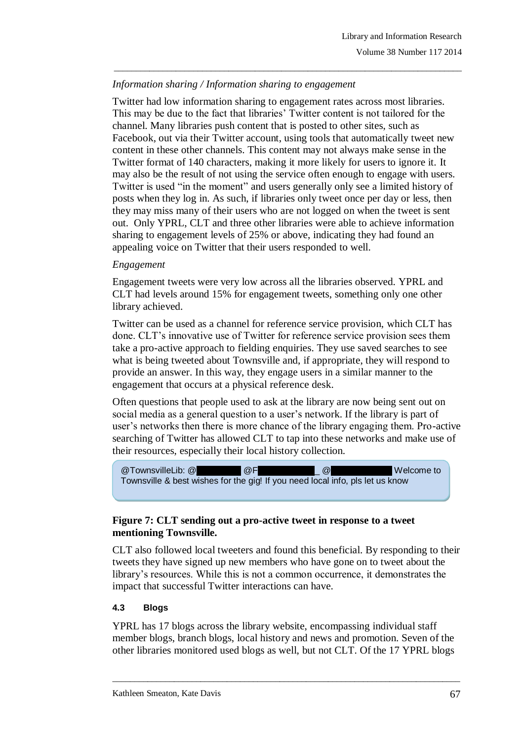# *Information sharing / Information sharing to engagement*

Twitter had low information sharing to engagement rates across most libraries. This may be due to the fact that libraries' Twitter content is not tailored for the channel. Many libraries push content that is posted to other sites, such as Facebook, out via their Twitter account, using tools that automatically tweet new content in these other channels. This content may not always make sense in the Twitter format of 140 characters, making it more likely for users to ignore it. It may also be the result of not using the service often enough to engage with users. Twitter is used "in the moment" and users generally only see a limited history of posts when they log in. As such, if libraries only tweet once per day or less, then they may miss many of their users who are not logged on when the tweet is sent out. Only YPRL, CLT and three other libraries were able to achieve information sharing to engagement levels of 25% or above, indicating they had found an appealing voice on Twitter that their users responded to well.

\_\_\_\_\_\_\_\_\_\_\_\_\_\_\_\_\_\_\_\_\_\_\_\_\_\_\_\_\_\_\_\_\_\_\_\_\_\_\_\_\_\_\_\_\_\_\_\_\_\_\_\_\_\_\_\_\_\_\_\_\_\_\_\_\_\_\_\_\_\_\_\_\_\_\_\_\_\_\_

#### *Engagement*

Engagement tweets were very low across all the libraries observed. YPRL and CLT had levels around 15% for engagement tweets, something only one other library achieved.

Twitter can be used as a channel for reference service provision, which CLT has done. CLT's innovative use of Twitter for reference service provision sees them take a pro-active approach to fielding enquiries. They use saved searches to see what is being tweeted about Townsville and, if appropriate, they will respond to provide an answer. In this way, they engage users in a similar manner to the engagement that occurs at a physical reference desk.

Often questions that people used to ask at the library are now being sent out on social media as a general question to a user's network. If the library is part of user's networks then there is more chance of the library engaging them. Pro-active searching of Twitter has allowed CLT to tap into these networks and make use of their resources, especially their local history collection.



### **Figure 7: CLT sending out a pro-active tweet in response to a tweet mentioning Townsville.**

CLT also followed local tweeters and found this beneficial. By responding to their tweets they have signed up new members who have gone on to tweet about the library's resources. While this is not a common occurrence, it demonstrates the impact that successful Twitter interactions can have.

### **4.3 Blogs**

YPRL has 17 blogs across the library website, encompassing individual staff member blogs, branch blogs, local history and news and promotion. Seven of the other libraries monitored used blogs as well, but not CLT. Of the 17 YPRL blogs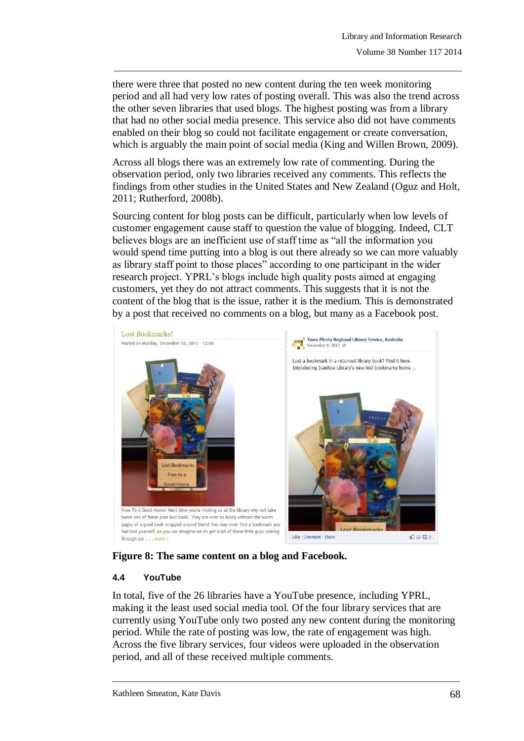there were three that posted no new content during the ten week monitoring period and all had very low rates of posting overall. This was also the trend across the other seven libraries that used blogs. The highest posting was from a library that had no other social media presence. This service also did not have comments enabled on their blog so could not facilitate engagement or create conversation, which is arguably the main point of social media (King and Willen Brown, 2009).

\_\_\_\_\_\_\_\_\_\_\_\_\_\_\_\_\_\_\_\_\_\_\_\_\_\_\_\_\_\_\_\_\_\_\_\_\_\_\_\_\_\_\_\_\_\_\_\_\_\_\_\_\_\_\_\_\_\_\_\_\_\_\_\_\_\_\_\_\_\_\_\_\_\_\_\_\_\_\_

Across all blogs there was an extremely low rate of commenting. During the observation period, only two libraries received any comments. This reflects the findings from other studies in the United States and New Zealand (Oguz and Holt, 2011; Rutherford, 2008b).

Sourcing content for blog posts can be difficult, particularly when low levels of customer engagement cause staff to question the value of blogging. Indeed, CLT believes blogs are an inefficient use of staff time as "all the information you would spend time putting into a blog is out there already so we can more valuably as library staff point to those places" according to one participant in the wider research project. YPRL's blogs include high quality posts aimed at engaging customers, yet they do not attract comments. This suggests that it is not the content of the blog that is the issue, rather it is the medium. This is demonstrated by a post that received no comments on a blog, but many as a Facebook post.



**Figure 8: The same content on a blog and Facebook.**

#### **4.4 YouTube**

In total, five of the 26 libraries have a YouTube presence, including YPRL, making it the least used social media tool. Of the four library services that are currently using YouTube only two posted any new content during the monitoring period. While the rate of posting was low, the rate of engagement was high. Across the five library services, four videos were uploaded in the observation period, and all of these received multiple comments.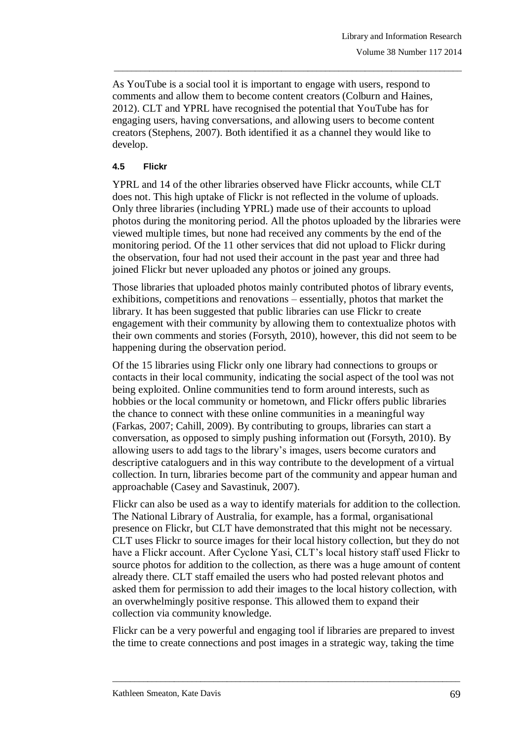As YouTube is a social tool it is important to engage with users, respond to comments and allow them to become content creators (Colburn and Haines, 2012). CLT and YPRL have recognised the potential that YouTube has for engaging users, having conversations, and allowing users to become content creators (Stephens, 2007). Both identified it as a channel they would like to develop.

\_\_\_\_\_\_\_\_\_\_\_\_\_\_\_\_\_\_\_\_\_\_\_\_\_\_\_\_\_\_\_\_\_\_\_\_\_\_\_\_\_\_\_\_\_\_\_\_\_\_\_\_\_\_\_\_\_\_\_\_\_\_\_\_\_\_\_\_\_\_\_\_\_\_\_\_\_\_\_

### **4.5 Flickr**

YPRL and 14 of the other libraries observed have Flickr accounts, while CLT does not. This high uptake of Flickr is not reflected in the volume of uploads. Only three libraries (including YPRL) made use of their accounts to upload photos during the monitoring period. All the photos uploaded by the libraries were viewed multiple times, but none had received any comments by the end of the monitoring period. Of the 11 other services that did not upload to Flickr during the observation, four had not used their account in the past year and three had joined Flickr but never uploaded any photos or joined any groups.

Those libraries that uploaded photos mainly contributed photos of library events, exhibitions, competitions and renovations – essentially, photos that market the library. It has been suggested that public libraries can use Flickr to create engagement with their community by allowing them to contextualize photos with their own comments and stories (Forsyth, 2010), however, this did not seem to be happening during the observation period.

Of the 15 libraries using Flickr only one library had connections to groups or contacts in their local community, indicating the social aspect of the tool was not being exploited. Online communities tend to form around interests, such as hobbies or the local community or hometown, and Flickr offers public libraries the chance to connect with these online communities in a meaningful way (Farkas, 2007; Cahill, 2009). By contributing to groups, libraries can start a conversation, as opposed to simply pushing information out (Forsyth, 2010). By allowing users to add tags to the library's images, users become curators and descriptive cataloguers and in this way contribute to the development of a virtual collection. In turn, libraries become part of the community and appear human and approachable (Casey and Savastinuk, 2007).

Flickr can also be used as a way to identify materials for addition to the collection. The National Library of Australia, for example, has a formal, organisational presence on Flickr, but CLT have demonstrated that this might not be necessary. CLT uses Flickr to source images for their local history collection, but they do not have a Flickr account. After Cyclone Yasi, CLT's local history staff used Flickr to source photos for addition to the collection, as there was a huge amount of content already there. CLT staff emailed the users who had posted relevant photos and asked them for permission to add their images to the local history collection, with an overwhelmingly positive response. This allowed them to expand their collection via community knowledge.

Flickr can be a very powerful and engaging tool if libraries are prepared to invest the time to create connections and post images in a strategic way, taking the time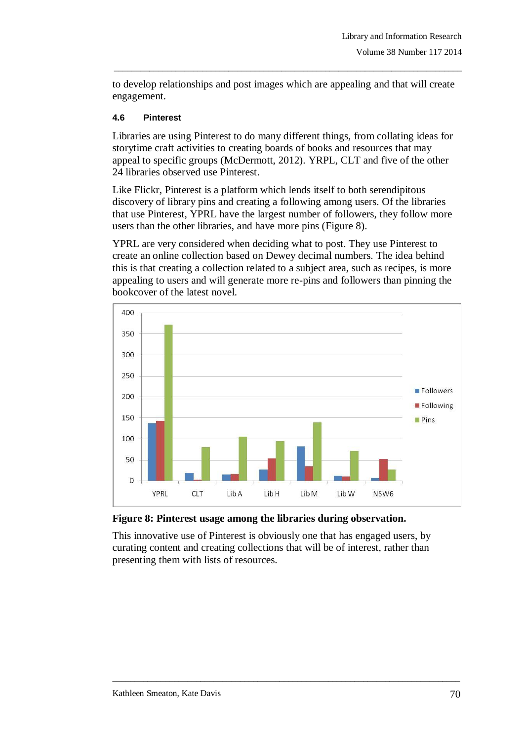to develop relationships and post images which are appealing and that will create engagement.

\_\_\_\_\_\_\_\_\_\_\_\_\_\_\_\_\_\_\_\_\_\_\_\_\_\_\_\_\_\_\_\_\_\_\_\_\_\_\_\_\_\_\_\_\_\_\_\_\_\_\_\_\_\_\_\_\_\_\_\_\_\_\_\_\_\_\_\_\_\_\_\_\_\_\_\_\_\_\_

#### **4.6 Pinterest**

Libraries are using Pinterest to do many different things, from collating ideas for storytime craft activities to creating boards of books and resources that may appeal to specific groups (McDermott, 2012). YRPL, CLT and five of the other 24 libraries observed use Pinterest.

Like Flickr, Pinterest is a platform which lends itself to both serendipitous discovery of library pins and creating a following among users. Of the libraries that use Pinterest, YPRL have the largest number of followers, they follow more users than the other libraries, and have more pins (Figure 8).

YPRL are very considered when deciding what to post. They use Pinterest to create an online collection based on Dewey decimal numbers. The idea behind this is that creating a collection related to a subject area, such as recipes, is more appealing to users and will generate more re-pins and followers than pinning the bookcover of the latest novel.



**Figure 8: Pinterest usage among the libraries during observation.** 

This innovative use of Pinterest is obviously one that has engaged users, by curating content and creating collections that will be of interest, rather than presenting them with lists of resources.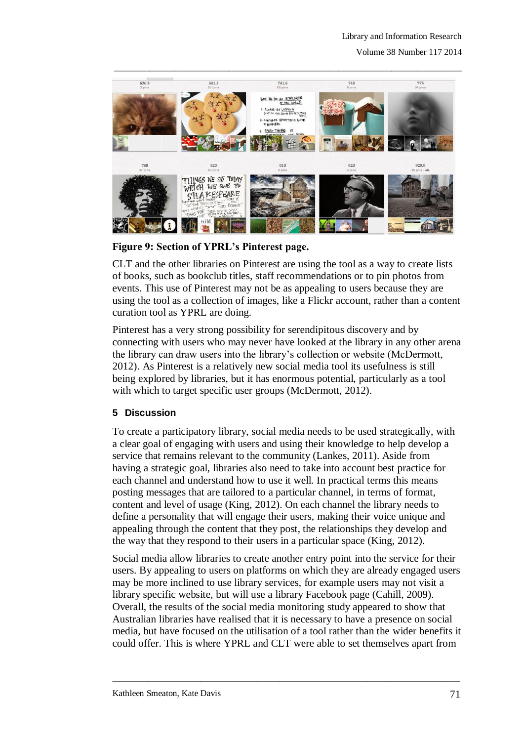

**Figure 9: Section of YPRL's Pinterest page.**

CLT and the other libraries on Pinterest are using the tool as a way to create lists of books, such as bookclub titles, staff recommendations or to pin photos from events. This use of Pinterest may not be as appealing to users because they are using the tool as a collection of images, like a Flickr account, rather than a content curation tool as YPRL are doing.

Pinterest has a very strong possibility for serendipitous discovery and by connecting with users who may never have looked at the library in any other arena the library can draw users into the library's collection or website (McDermott, 2012). As Pinterest is a relatively new social media tool its usefulness is still being explored by libraries, but it has enormous potential, particularly as a tool with which to target specific user groups (McDermott, 2012).

# **5 Discussion**

To create a participatory library, social media needs to be used strategically, with a clear goal of engaging with users and using their knowledge to help develop a service that remains relevant to the community (Lankes, 2011). Aside from having a strategic goal, libraries also need to take into account best practice for each channel and understand how to use it well. In practical terms this means posting messages that are tailored to a particular channel, in terms of format, content and level of usage (King, 2012). On each channel the library needs to define a personality that will engage their users, making their voice unique and appealing through the content that they post, the relationships they develop and the way that they respond to their users in a particular space (King, 2012).

Social media allow libraries to create another entry point into the service for their users. By appealing to users on platforms on which they are already engaged users may be more inclined to use library services, for example users may not visit a library specific website, but will use a library Facebook page (Cahill, 2009). Overall, the results of the social media monitoring study appeared to show that Australian libraries have realised that it is necessary to have a presence on social media, but have focused on the utilisation of a tool rather than the wider benefits it could offer. This is where YPRL and CLT were able to set themselves apart from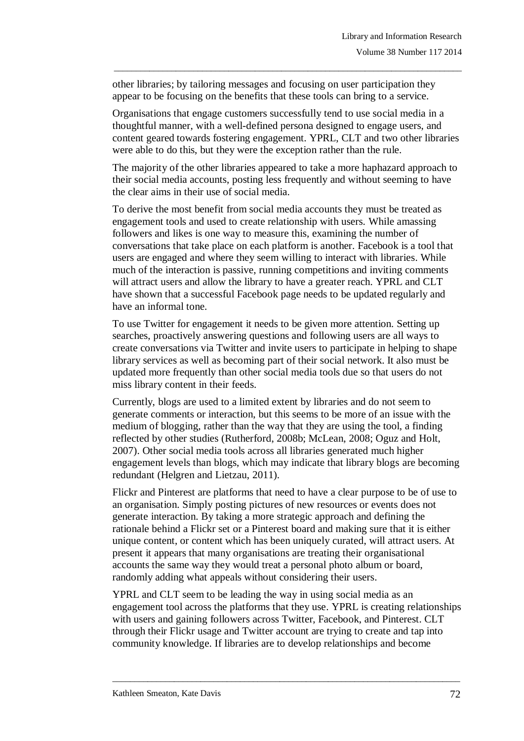other libraries; by tailoring messages and focusing on user participation they appear to be focusing on the benefits that these tools can bring to a service.

Organisations that engage customers successfully tend to use social media in a thoughtful manner, with a well-defined persona designed to engage users, and content geared towards fostering engagement. YPRL, CLT and two other libraries were able to do this, but they were the exception rather than the rule.

\_\_\_\_\_\_\_\_\_\_\_\_\_\_\_\_\_\_\_\_\_\_\_\_\_\_\_\_\_\_\_\_\_\_\_\_\_\_\_\_\_\_\_\_\_\_\_\_\_\_\_\_\_\_\_\_\_\_\_\_\_\_\_\_\_\_\_\_\_\_\_\_\_\_\_\_\_\_\_

The majority of the other libraries appeared to take a more haphazard approach to their social media accounts, posting less frequently and without seeming to have the clear aims in their use of social media.

To derive the most benefit from social media accounts they must be treated as engagement tools and used to create relationship with users. While amassing followers and likes is one way to measure this, examining the number of conversations that take place on each platform is another. Facebook is a tool that users are engaged and where they seem willing to interact with libraries. While much of the interaction is passive, running competitions and inviting comments will attract users and allow the library to have a greater reach. YPRL and CLT have shown that a successful Facebook page needs to be updated regularly and have an informal tone.

To use Twitter for engagement it needs to be given more attention. Setting up searches, proactively answering questions and following users are all ways to create conversations via Twitter and invite users to participate in helping to shape library services as well as becoming part of their social network. It also must be updated more frequently than other social media tools due so that users do not miss library content in their feeds.

Currently, blogs are used to a limited extent by libraries and do not seem to generate comments or interaction, but this seems to be more of an issue with the medium of blogging, rather than the way that they are using the tool, a finding reflected by other studies (Rutherford, 2008b; McLean, 2008; Oguz and Holt, 2007). Other social media tools across all libraries generated much higher engagement levels than blogs, which may indicate that library blogs are becoming redundant (Helgren and Lietzau, 2011).

Flickr and Pinterest are platforms that need to have a clear purpose to be of use to an organisation. Simply posting pictures of new resources or events does not generate interaction. By taking a more strategic approach and defining the rationale behind a Flickr set or a Pinterest board and making sure that it is either unique content, or content which has been uniquely curated, will attract users. At present it appears that many organisations are treating their organisational accounts the same way they would treat a personal photo album or board, randomly adding what appeals without considering their users.

YPRL and CLT seem to be leading the way in using social media as an engagement tool across the platforms that they use. YPRL is creating relationships with users and gaining followers across Twitter, Facebook, and Pinterest. CLT through their Flickr usage and Twitter account are trying to create and tap into community knowledge. If libraries are to develop relationships and become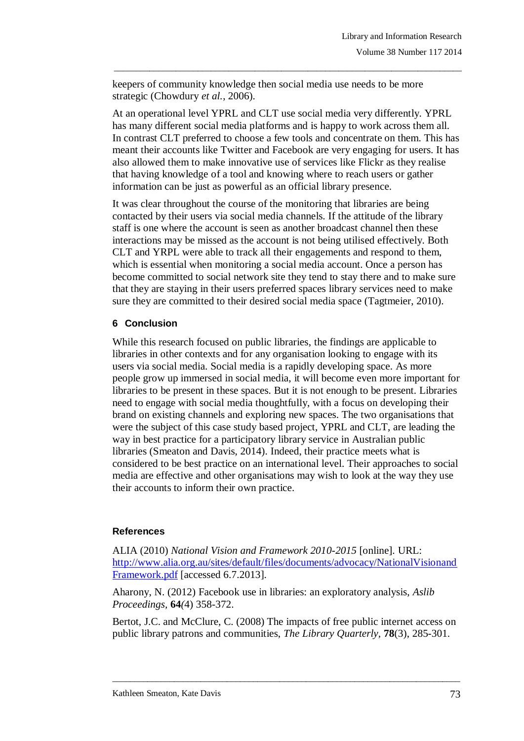keepers of community knowledge then social media use needs to be more strategic (Chowdury *et al.*, 2006).

At an operational level YPRL and CLT use social media very differently. YPRL has many different social media platforms and is happy to work across them all. In contrast CLT preferred to choose a few tools and concentrate on them. This has meant their accounts like Twitter and Facebook are very engaging for users. It has also allowed them to make innovative use of services like Flickr as they realise that having knowledge of a tool and knowing where to reach users or gather information can be just as powerful as an official library presence.

\_\_\_\_\_\_\_\_\_\_\_\_\_\_\_\_\_\_\_\_\_\_\_\_\_\_\_\_\_\_\_\_\_\_\_\_\_\_\_\_\_\_\_\_\_\_\_\_\_\_\_\_\_\_\_\_\_\_\_\_\_\_\_\_\_\_\_\_\_\_\_\_\_\_\_\_\_\_\_

It was clear throughout the course of the monitoring that libraries are being contacted by their users via social media channels. If the attitude of the library staff is one where the account is seen as another broadcast channel then these interactions may be missed as the account is not being utilised effectively. Both CLT and YRPL were able to track all their engagements and respond to them, which is essential when monitoring a social media account. Once a person has become committed to social network site they tend to stay there and to make sure that they are staying in their users preferred spaces library services need to make sure they are committed to their desired social media space (Tagtmeier, 2010).

# **6 Conclusion**

While this research focused on public libraries, the findings are applicable to libraries in other contexts and for any organisation looking to engage with its users via social media. Social media is a rapidly developing space. As more people grow up immersed in social media, it will become even more important for libraries to be present in these spaces. But it is not enough to be present. Libraries need to engage with social media thoughtfully, with a focus on developing their brand on existing channels and exploring new spaces. The two organisations that were the subject of this case study based project, YPRL and CLT, are leading the way in best practice for a participatory library service in Australian public libraries (Smeaton and Davis, 2014). Indeed, their practice meets what is considered to be best practice on an international level. Their approaches to social media are effective and other organisations may wish to look at the way they use their accounts to inform their own practice.

### **References**

ALIA (2010) *National Vision and Framework 2010-2015* [online]*.* URL: [http://www.alia.org.au/sites/default/files/documents/advocacy/NationalVisionand](http://www.alia.org.au/sites/default/files/documents/advocacy/NationalVisionandFramework.pdf) [Framework.pdf](http://www.alia.org.au/sites/default/files/documents/advocacy/NationalVisionandFramework.pdf) [accessed 6.7.2013].

Aharony, N. (2012) Facebook use in libraries: an exploratory analysis, *Aslib Proceedings,* **64***(*4) 358-372.

Bertot, J.C. and McClure, C. (2008) The impacts of free public internet access on public library patrons and communities, *The Library Quarterly,* **78**(3), 285-301.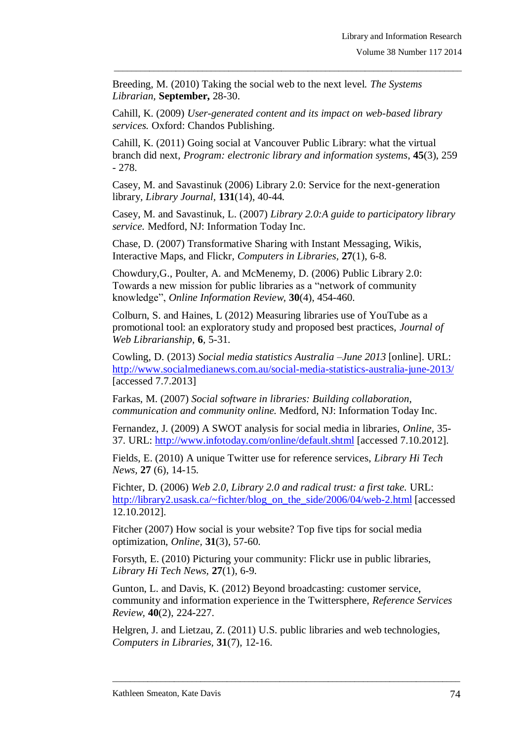Breeding, M. (2010) Taking the social web to the next level. *The Systems Librarian,* **September,** 28-30.

Cahill, K. (2009) *User-generated content and its impact on web-based library services.* Oxford: Chandos Publishing.

Cahill, K. (2011) Going social at Vancouver Public Library: what the virtual branch did next, *Program: electronic library and information systems*, **45**(3), 259 - 278.

\_\_\_\_\_\_\_\_\_\_\_\_\_\_\_\_\_\_\_\_\_\_\_\_\_\_\_\_\_\_\_\_\_\_\_\_\_\_\_\_\_\_\_\_\_\_\_\_\_\_\_\_\_\_\_\_\_\_\_\_\_\_\_\_\_\_\_\_\_\_\_\_\_\_\_\_\_\_\_

Casey, M. and Savastinuk (2006) Library 2.0: Service for the next-generation library*, Library Journal,* **131**(14), 40-44*.* 

Casey, M. and Savastinuk, L. (2007) *Library 2.0:A guide to participatory library service.* Medford, NJ: Information Today Inc.

Chase, D. (2007) Transformative Sharing with Instant Messaging, Wikis, Interactive Maps, and Flickr*, Computers in Libraries,* **27**(1), 6-8.

Chowdury,G., Poulter, A. and McMenemy, D. (2006) Public Library 2.0: Towards a new mission for public libraries as a "network of community knowledge", *Online Information Review,* **30**(4), 454-460.

Colburn, S. and Haines, L (2012) Measuring libraries use of YouTube as a promotional tool: an exploratory study and proposed best practices, *Journal of Web Librarianship,* **6***,* 5-31.

Cowling, D. (2013) *Social media statistics Australia –June 2013* [online]. URL: <http://www.socialmedianews.com.au/social-media-statistics-australia-june-2013/> [accessed 7.7.2013]

Farkas, M. (2007) *Social software in libraries: Building collaboration, communication and community online.* Medford, NJ: Information Today Inc.

Fernandez, J. (2009) A SWOT analysis for social media in libraries, *Online,* 35- 37. URL:<http://www.infotoday.com/online/default.shtml> [accessed 7.10.2012].

Fields, E. (2010) A unique Twitter use for reference services, *Library Hi Tech News,* **27** (6), 14-15.

Fichter, D. (2006) *Web 2.0, Library 2.0 and radical trust: a first take.* URL: [http://library2.usask.ca/~fichter/blog\\_on\\_the\\_side/2006/04/web-2.html](http://library2.usask.ca/~fichter/blog_on_the_side/2006/04/web-2.html) [accessed] 12.10.2012].

Fitcher (2007) How social is your website? Top five tips for social media optimization, *Online,* **31**(3), 57-60.

Forsyth, E. (2010) Picturing your community: Flickr use in public libraries, *Library Hi Tech News,* **27**(1), 6-9.

Gunton, L. and Davis, K. (2012) Beyond broadcasting: customer service, community and information experience in the Twittersphere, *Reference Services Review,* **40**(2), 224-227.

Helgren, J. and Lietzau, Z. (2011) U.S. public libraries and web technologies, *Computers in Libraries,* **31**(7), 12-16.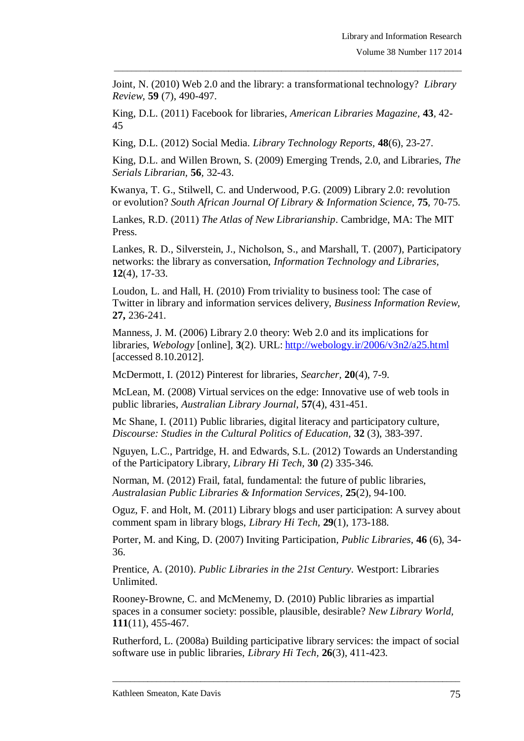Joint, N. (2010) Web 2.0 and the library: a transformational technology? *Library Review,* **59** (7), 490-497.

\_\_\_\_\_\_\_\_\_\_\_\_\_\_\_\_\_\_\_\_\_\_\_\_\_\_\_\_\_\_\_\_\_\_\_\_\_\_\_\_\_\_\_\_\_\_\_\_\_\_\_\_\_\_\_\_\_\_\_\_\_\_\_\_\_\_\_\_\_\_\_\_\_\_\_\_\_\_\_

King, D.L. (2011) Facebook for libraries, *American Libraries Magazine,* **43***,* 42- 45

King, D.L. (2012) Social Media. *Library Technology Reports,* **48**(6), 23-27.

King, D.L. and Willen Brown, S. (2009) Emerging Trends, 2.0, and Libraries, *The Serials Librarian,* **56***,* 32-43.

Kwanya, T. G., Stilwell, C. and Underwood, P.G. (2009) Library 2.0: revolution or evolution? *South African Journal Of Library & Information Science,* **75***,* 70-75.

Lankes, R.D. (2011) *The Atlas of New Librarianship*. Cambridge, MA: The MIT Press.

Lankes, R. D., Silverstein, J., Nicholson, S., and Marshall, T. (2007), Participatory networks: the library as conversation, *Information Technology and Libraries,*  **12**(4), 17-33.

Loudon, L. and Hall, H. (2010) From triviality to business tool: The case of Twitter in library and information services delivery, *Business Information Review,*  **27,** 236-241.

Manness, J. M. (2006) Library 2.0 theory: Web 2.0 and its implications for libraries, *Webology* [online]*,* **3**(2). URL: <http://webology.ir/2006/v3n2/a25.html> [accessed 8.10.2012].

McDermott, I. (2012) Pinterest for libraries, *Searcher,* **20**(4), 7-9.

McLean, M. (2008) Virtual services on the edge: Innovative use of web tools in public libraries, *Australian Library Journal*, **57**(4), 431-451.

Mc Shane, I. (2011) Public libraries, digital literacy and participatory culture, *Discourse: Studies in the Cultural Politics of Education,* **32** (3), 383-397.

Nguyen, L.C., Partridge, H. and Edwards, S.L. (2012) Towards an Understanding of the Participatory Library, *Library Hi Tech,* **30** *(*2) 335-346.

Norman, M. (2012) Frail, fatal, fundamental: the future of public libraries, *Australasian Public Libraries & Information Services,* **25**(2), 94-100.

Oguz, F. and Holt, M. (2011) Library blogs and user participation: A survey about comment spam in library blogs, *Library Hi Tech,* **29**(1), 173-188.

Porter, M. and King, D. (2007) Inviting Participation*, Public Libraries,* **46** (6), 34- 36.

Prentice, A. (2010). *Public Libraries in the 21st Century.* Westport: Libraries Unlimited.

Rooney-Browne, C. and McMenemy, D. (2010) Public libraries as impartial spaces in a consumer society: possible, plausible, desirable? *New Library World,*  **111**(11), 455-467.

Rutherford, L. (2008a) Building participative library services: the impact of social software use in public libraries, *Library Hi Tech,* **26**(3), 411-423.